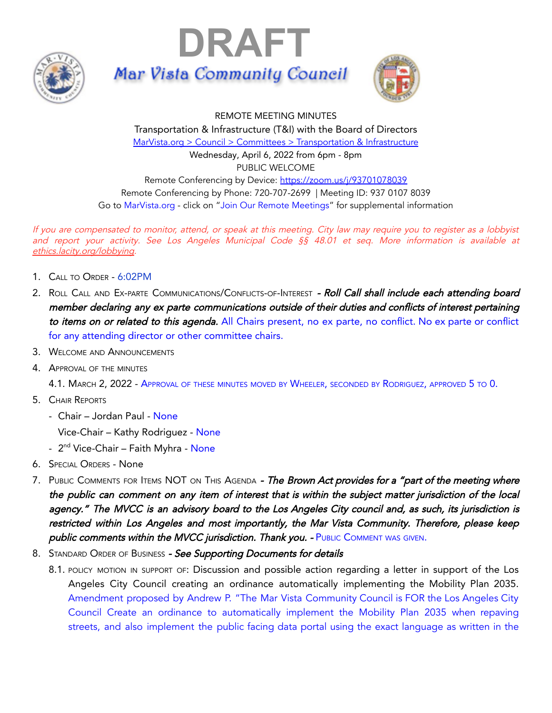





REMOTE MEETING MINUTES Transportation & Infrastructure (T&I) with the Board of Directors MarVista.org > Council > Committees > [Transportation](https://www.marvista.org/committees/viewCommittee/transportation-&-infrastructure-committee) & Infrastructure Wednesday, April 6, 2022 from 6pm - 8pm PUBLIC WELCOME Remote Conferencing by Device: <https://zoom.us/j/93701078039> Remote Conferencing by Phone: 720-707-2699 | Meeting ID: 937 0107 8039 Go to MarVista.org - click on "Join Our Remote Meetings" for supplemental information

If you are compensated to monitor, attend, or speak at this meeting. City law may require you to register as <sup>a</sup> lobbyist and report your activity. See Los Angeles Municipal Code §§ 48.01 et seq. More information is available at [ethics.lacity.org/lobbying](http://ethics.lacity.org/lobbying).

- 1. CALL TO ORDER 6:02PM
- 2. ROLL CALL AND EX-PARTE COMMUNICATIONS/CONFLICTS-OF-INTEREST Roll Call shall include each attending board member declaring any ex parte communications outside of their duties and conflicts of interest pertaining to items on or related to this agenda. All Chairs present, no ex parte, no conflict. No ex parte or conflict for any attending director or other committee chairs.
- 3. WELCOME AND ANNOUNCEMENTS
- 4. APPROVAL OF THE MINUTES

4.1. MARCH 2, 2022 - APPROVAL OF THESE MINUTES MOVED BY WHEELER, SECONDED BY RODRIGUEZ, APPROVED 5 TO 0.

- 5. CHAIR REPORTS
	- Chair Jordan Paul None

Vice-Chair – Kathy Rodriguez - None

- 2<sup>nd</sup> Vice-Chair Faith Myhra None
- 6. SPECIAL ORDERS None
- 7. PUBLIC COMMENTS FOR ITEMS NOT ON THIS AGENDA The Brown Act provides for a "part of the meeting where the public can comment on any item of interest that is within the subject matter jurisdiction of the local agency." The MVCC is an advisory board to the Los Angeles City council and, as such, its jurisdiction is restricted within Los Angeles and most importantly, the Mar Vista Community. Therefore, please keep public comments within the MVCC jurisdiction. Thank you. - PUBLIC COMMENT WAS GIVEN.
- 8. STANDARD ORDER OF BUSINESS See Supporting Documents for details
	- 8.1. POLICY MOTION IN SUPPORT OF: Discussion and possible action regarding a letter in support of the Los Angeles City Council creating an ordinance automatically implementing the Mobility Plan 2035. Amendment proposed by Andrew P. "The Mar Vista Community Council is FOR the Los Angeles City Council Create an ordinance to automatically implement the Mobility Plan 2035 when repaving streets, and also implement the public facing data portal using the exact language as written in the